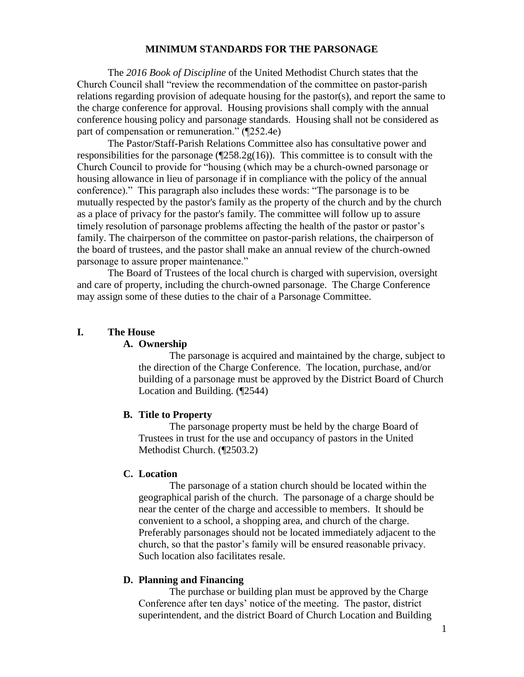#### **MINIMUM STANDARDS FOR THE PARSONAGE**

The *2016 Book of Discipline* of the United Methodist Church states that the Church Council shall "review the recommendation of the committee on pastor-parish relations regarding provision of adequate housing for the pastor(s), and report the same to the charge conference for approval. Housing provisions shall comply with the annual conference housing policy and parsonage standards. Housing shall not be considered as part of compensation or remuneration." (¶252.4e)

The Pastor/Staff-Parish Relations Committee also has consultative power and responsibilities for the parsonage  $(\sqrt{258.2g(16)})$ . This committee is to consult with the Church Council to provide for "housing (which may be a church-owned parsonage or housing allowance in lieu of parsonage if in compliance with the policy of the annual conference)." This paragraph also includes these words: "The parsonage is to be mutually respected by the pastor's family as the property of the church and by the church as a place of privacy for the pastor's family. The committee will follow up to assure timely resolution of parsonage problems affecting the health of the pastor or pastor's family. The chairperson of the committee on pastor-parish relations, the chairperson of the board of trustees, and the pastor shall make an annual review of the church-owned parsonage to assure proper maintenance."

The Board of Trustees of the local church is charged with supervision, oversight and care of property, including the church-owned parsonage. The Charge Conference may assign some of these duties to the chair of a Parsonage Committee.

#### **I. The House**

#### **A. Ownership**

The parsonage is acquired and maintained by the charge, subject to the direction of the Charge Conference. The location, purchase, and/or building of a parsonage must be approved by the District Board of Church Location and Building. (¶2544)

### **B. Title to Property**

The parsonage property must be held by the charge Board of Trustees in trust for the use and occupancy of pastors in the United Methodist Church. (¶2503.2)

### **C. Location**

The parsonage of a station church should be located within the geographical parish of the church. The parsonage of a charge should be near the center of the charge and accessible to members. It should be convenient to a school, a shopping area, and church of the charge. Preferably parsonages should not be located immediately adjacent to the church, so that the pastor's family will be ensured reasonable privacy. Such location also facilitates resale.

### **D. Planning and Financing**

The purchase or building plan must be approved by the Charge Conference after ten days' notice of the meeting. The pastor, district superintendent, and the district Board of Church Location and Building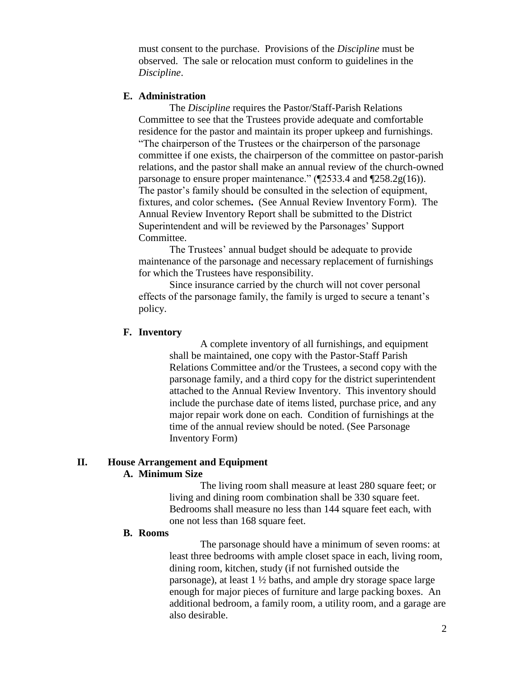must consent to the purchase. Provisions of the *Discipline* must be observed. The sale or relocation must conform to guidelines in the *Discipline*.

### **E. Administration**

The *Discipline* requires the Pastor/Staff-Parish Relations Committee to see that the Trustees provide adequate and comfortable residence for the pastor and maintain its proper upkeep and furnishings. "The chairperson of the Trustees or the chairperson of the parsonage committee if one exists, the chairperson of the committee on pastor-parish relations, and the pastor shall make an annual review of the church-owned parsonage to ensure proper maintenance." (¶2533.4 and ¶258.2g(16)). The pastor's family should be consulted in the selection of equipment, fixtures, and color schemes**.** (See Annual Review Inventory Form). The Annual Review Inventory Report shall be submitted to the District Superintendent and will be reviewed by the Parsonages' Support Committee.

The Trustees' annual budget should be adequate to provide maintenance of the parsonage and necessary replacement of furnishings for which the Trustees have responsibility.

Since insurance carried by the church will not cover personal effects of the parsonage family, the family is urged to secure a tenant's policy.

### **F. Inventory**

A complete inventory of all furnishings, and equipment shall be maintained, one copy with the Pastor-Staff Parish Relations Committee and/or the Trustees, a second copy with the parsonage family, and a third copy for the district superintendent attached to the Annual Review Inventory. This inventory should include the purchase date of items listed, purchase price, and any major repair work done on each. Condition of furnishings at the time of the annual review should be noted. (See Parsonage Inventory Form)

### **II. House Arrangement and Equipment A. Minimum Size**

The living room shall measure at least 280 square feet; or living and dining room combination shall be 330 square feet. Bedrooms shall measure no less than 144 square feet each, with one not less than 168 square feet.

### **B. Rooms**

The parsonage should have a minimum of seven rooms: at least three bedrooms with ample closet space in each, living room, dining room, kitchen, study (if not furnished outside the parsonage), at least 1 ½ baths, and ample dry storage space large enough for major pieces of furniture and large packing boxes. An additional bedroom, a family room, a utility room, and a garage are also desirable.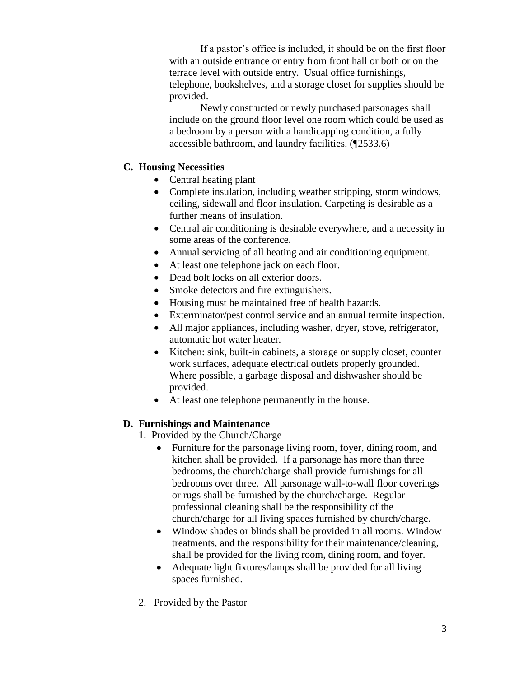If a pastor's office is included, it should be on the first floor with an outside entrance or entry from front hall or both or on the terrace level with outside entry. Usual office furnishings, telephone, bookshelves, and a storage closet for supplies should be provided.

Newly constructed or newly purchased parsonages shall include on the ground floor level one room which could be used as a bedroom by a person with a handicapping condition, a fully accessible bathroom, and laundry facilities. (¶2533.6)

### **C. Housing Necessities**

- Central heating plant
- Complete insulation, including weather stripping, storm windows, ceiling, sidewall and floor insulation. Carpeting is desirable as a further means of insulation.
- Central air conditioning is desirable everywhere, and a necessity in some areas of the conference.
- Annual servicing of all heating and air conditioning equipment.
- At least one telephone jack on each floor.
- Dead bolt locks on all exterior doors.
- Smoke detectors and fire extinguishers.
- Housing must be maintained free of health hazards.
- Exterminator/pest control service and an annual termite inspection.
- All major appliances, including washer, dryer, stove, refrigerator, automatic hot water heater.
- Kitchen: sink, built-in cabinets, a storage or supply closet, counter work surfaces, adequate electrical outlets properly grounded. Where possible, a garbage disposal and dishwasher should be provided.
- At least one telephone permanently in the house.

## **D. Furnishings and Maintenance**

- 1. Provided by the Church/Charge
	- Furniture for the parsonage living room, foyer, dining room, and kitchen shall be provided. If a parsonage has more than three bedrooms, the church/charge shall provide furnishings for all bedrooms over three. All parsonage wall-to-wall floor coverings or rugs shall be furnished by the church/charge. Regular professional cleaning shall be the responsibility of the church/charge for all living spaces furnished by church/charge.
	- Window shades or blinds shall be provided in all rooms. Window treatments, and the responsibility for their maintenance/cleaning, shall be provided for the living room, dining room, and foyer.
	- Adequate light fixtures/lamps shall be provided for all living spaces furnished.
- 2. Provided by the Pastor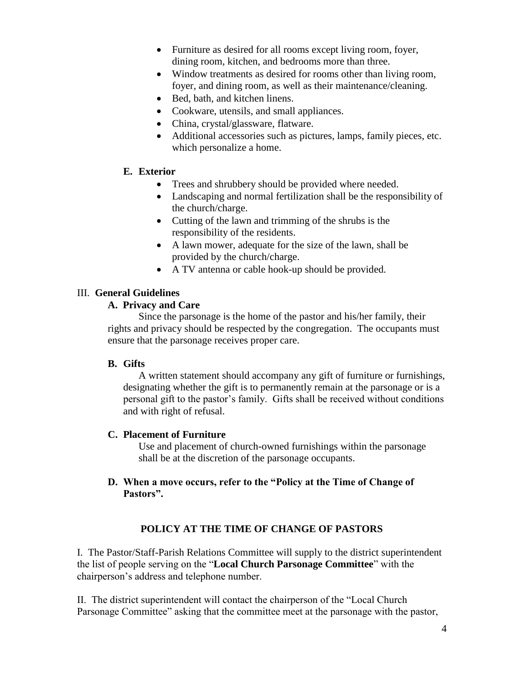- Furniture as desired for all rooms except living room, foyer, dining room, kitchen, and bedrooms more than three.
- Window treatments as desired for rooms other than living room, foyer, and dining room, as well as their maintenance/cleaning.
- Bed, bath, and kitchen linens.
- Cookware, utensils, and small appliances.
- China, crystal/glassware, flatware.
- Additional accessories such as pictures, lamps, family pieces, etc. which personalize a home.

## **E. Exterior**

- Trees and shrubbery should be provided where needed.
- Landscaping and normal fertilization shall be the responsibility of the church/charge.
- Cutting of the lawn and trimming of the shrubs is the responsibility of the residents.
- A lawn mower, adequate for the size of the lawn, shall be provided by the church/charge.
- A TV antenna or cable hook-up should be provided.

## III. **General Guidelines**

## **A. Privacy and Care**

Since the parsonage is the home of the pastor and his/her family, their rights and privacy should be respected by the congregation. The occupants must ensure that the parsonage receives proper care.

## **B. Gifts**

A written statement should accompany any gift of furniture or furnishings, designating whether the gift is to permanently remain at the parsonage or is a personal gift to the pastor's family. Gifts shall be received without conditions and with right of refusal.

## **C. Placement of Furniture**

Use and placement of church-owned furnishings within the parsonage shall be at the discretion of the parsonage occupants.

## **D. When a move occurs, refer to the "Policy at the Time of Change of Pastors".**

# **POLICY AT THE TIME OF CHANGE OF PASTORS**

I. The Pastor/Staff-Parish Relations Committee will supply to the district superintendent the list of people serving on the "**Local Church Parsonage Committee**" with the chairperson's address and telephone number.

II. The district superintendent will contact the chairperson of the "Local Church Parsonage Committee" asking that the committee meet at the parsonage with the pastor,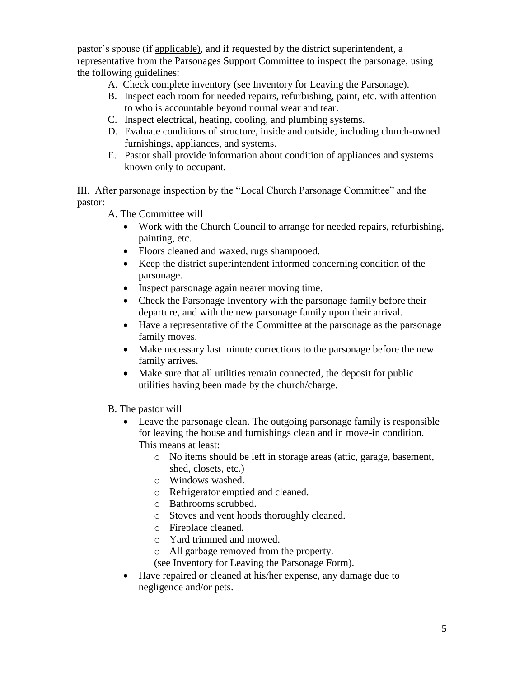pastor's spouse (if applicable), and if requested by the district superintendent, a representative from the Parsonages Support Committee to inspect the parsonage, using the following guidelines:

- A. Check complete inventory (see Inventory for Leaving the Parsonage).
- B. Inspect each room for needed repairs, refurbishing, paint, etc. with attention to who is accountable beyond normal wear and tear.
- C. Inspect electrical, heating, cooling, and plumbing systems.
- D. Evaluate conditions of structure, inside and outside, including church-owned furnishings, appliances, and systems.
- E. Pastor shall provide information about condition of appliances and systems known only to occupant.

III. After parsonage inspection by the "Local Church Parsonage Committee" and the pastor:

- A. The Committee will
	- Work with the Church Council to arrange for needed repairs, refurbishing, painting, etc.
	- Floors cleaned and waxed, rugs shampooed.
	- Keep the district superintendent informed concerning condition of the parsonage.
	- Inspect parsonage again nearer moving time.
	- Check the Parsonage Inventory with the parsonage family before their departure, and with the new parsonage family upon their arrival.
	- Have a representative of the Committee at the parsonage as the parsonage family moves.
	- Make necessary last minute corrections to the parsonage before the new family arrives.
	- Make sure that all utilities remain connected, the deposit for public utilities having been made by the church/charge.
- B. The pastor will
	- Leave the parsonage clean. The outgoing parsonage family is responsible for leaving the house and furnishings clean and in move-in condition. This means at least:
		- o No items should be left in storage areas (attic, garage, basement, shed, closets, etc.)
		- o Windows washed.
		- o Refrigerator emptied and cleaned.
		- o Bathrooms scrubbed.
		- o Stoves and vent hoods thoroughly cleaned.
		- o Fireplace cleaned.
		- o Yard trimmed and mowed.
		- o All garbage removed from the property.
		- (see Inventory for Leaving the Parsonage Form).
	- Have repaired or cleaned at his/her expense, any damage due to negligence and/or pets.